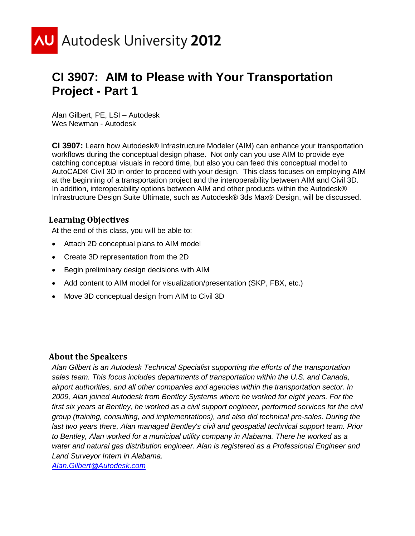

# **CI 3907: AIM to Please with Your Transportation Project - Part 1**

Alan Gilbert, PE, LSI – Autodesk Wes Newman - Autodesk

**CI 3907:** Learn how Autodesk® Infrastructure Modeler (AIM) can enhance your transportation workflows during the conceptual design phase. Not only can you use AIM to provide eye catching conceptual visuals in record time, but also you can feed this conceptual model to AutoCAD® Civil 3D in order to proceed with your design. This class focuses on employing AIM at the beginning of a transportation project and the interoperability between AIM and Civil 3D. In addition, interoperability options between AIM and other products within the Autodesk® Infrastructure Design Suite Ultimate, such as Autodesk® 3ds Max® Design, will be discussed.

### **Learning Objectives**

At the end of this class, you will be able to:

- Attach 2D conceptual plans to AIM model
- Create 3D representation from the 2D
- Begin preliminary design decisions with AIM
- Add content to AIM model for visualization/presentation (SKP, FBX, etc.)
- Move 3D conceptual design from AIM to Civil 3D

#### **About the Speakers**

*Alan Gilbert is an Autodesk Technical Specialist supporting the efforts of the transportation sales team. This focus includes departments of transportation within the U.S. and Canada, airport authorities, and all other companies and agencies within the transportation sector. In 2009, Alan joined Autodesk from Bentley Systems where he worked for eight years. For the*  first six years at Bentley, he worked as a civil support engineer, performed services for the civil *group (training, consulting, and implementations), and also did technical pre-sales. During the last two years there, Alan managed Bentley's civil and geospatial technical support team. Prior to Bentley, Alan worked for a municipal utility company in Alabama. There he worked as a water and natural gas distribution engineer. Alan is registered as a Professional Engineer and Land Surveyor Intern in Alabama.*

*[Alan.Gilbert@Autodesk.com](mailto:Alan.Gilbert@Autodesk.com)*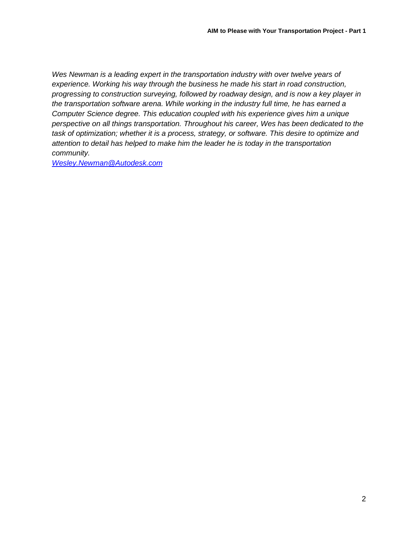*Wes Newman is a leading expert in the transportation industry with over twelve years of experience. Working his way through the business he made his start in road construction, progressing to construction surveying, followed by roadway design, and is now a key player in the transportation software arena. While working in the industry full time, he has earned a Computer Science degree. This education coupled with his experience gives him a unique perspective on all things transportation. Throughout his career, Wes has been dedicated to the task of optimization; whether it is a process, strategy, or software. This desire to optimize and attention to detail has helped to make him the leader he is today in the transportation community.*

*[Wesley.Newman@Autodesk.com](mailto:Wesley.Newman@Autodesk.com)*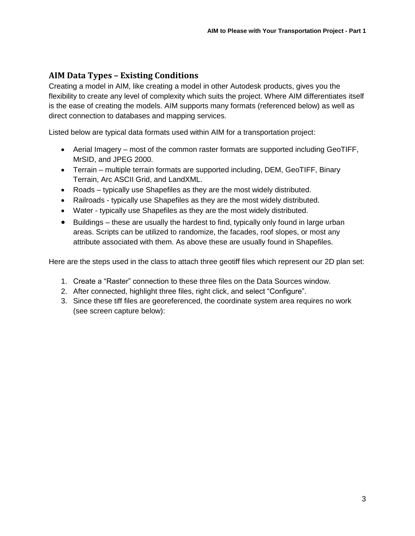# **AIM Data Types – Existing Conditions**

Creating a model in AIM, like creating a model in other Autodesk products, gives you the flexibility to create any level of complexity which suits the project. Where AIM differentiates itself is the ease of creating the models. AIM supports many formats (referenced below) as well as direct connection to databases and mapping services.

Listed below are typical data formats used within AIM for a transportation project:

- Aerial Imagery most of the common raster formats are supported including GeoTIFF, MrSID, and JPEG 2000.
- Terrain multiple terrain formats are supported including, DEM, GeoTIFF, Binary Terrain, Arc ASCII Grid, and LandXML.
- Roads typically use Shapefiles as they are the most widely distributed.
- Railroads typically use Shapefiles as they are the most widely distributed.
- Water typically use Shapefiles as they are the most widely distributed.
- Buildings these are usually the hardest to find, typically only found in large urban areas. Scripts can be utilized to randomize, the facades, roof slopes, or most any attribute associated with them. As above these are usually found in Shapefiles.

Here are the steps used in the class to attach three geotiff files which represent our 2D plan set:

- 1. Create a "Raster" connection to these three files on the Data Sources window.
- 2. After connected, highlight three files, right click, and select "Configure".
- 3. Since these tiff files are georeferenced, the coordinate system area requires no work (see screen capture below):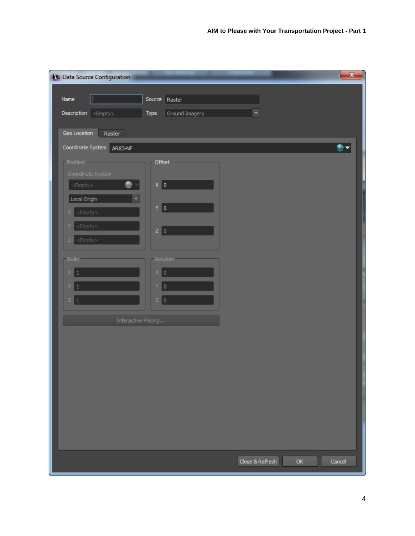| Data Source Configuration                                          |                        | $\mathbf{x}$                    |
|--------------------------------------------------------------------|------------------------|---------------------------------|
| I<br>Name                                                          | Source Raster          |                                 |
|                                                                    |                        |                                 |
| $\textbf{Description}$ < Empty >                                   | Type<br>Ground Imagery |                                 |
| Geo Location<br>Raster                                             |                        |                                 |
| Coordinate System AR83-NF                                          |                        | ∙⊜                              |
| -Position-                                                         | Offset                 |                                 |
| Coordinate System                                                  |                        |                                 |
| $\bullet$ .<br>$<$ Empty $>$                                       | $X$ $\vert$ 0          |                                 |
| Local Origin                                                       | $Y = 0$                |                                 |
| $<$ Empty $>$                                                      |                        |                                 |
| <empty><br/><math>&lt;</math>Empty<math>&gt;</math><br/>z.</empty> | $Z \mid 0$             |                                 |
|                                                                    |                        |                                 |
| Scale                                                              | Rotation               |                                 |
| $\mathsf{X}^-$                                                     | $x _0$                 |                                 |
| Y.                                                                 | $Y$ 0                  |                                 |
| Z 1                                                                | $Z = 0$                |                                 |
| Interactive Placing                                                |                        |                                 |
|                                                                    |                        |                                 |
|                                                                    |                        |                                 |
|                                                                    |                        |                                 |
|                                                                    |                        |                                 |
|                                                                    |                        |                                 |
|                                                                    |                        |                                 |
|                                                                    |                        |                                 |
|                                                                    |                        |                                 |
|                                                                    |                        |                                 |
|                                                                    |                        | Close & Refresh<br>OK<br>Cancel |
|                                                                    |                        |                                 |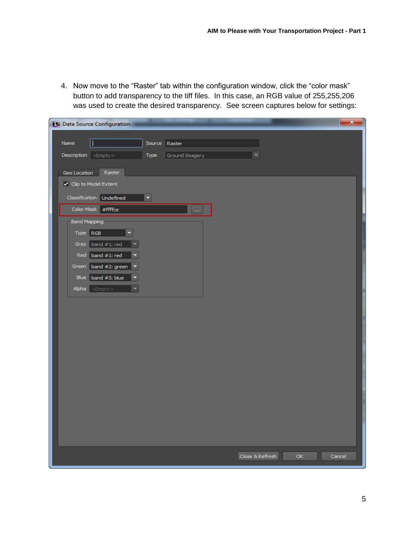4. Now move to the "Raster" tab within the configuration window, click the "color mask" button to add transparency to the tiff files. In this case, an RGB value of 255,255,206 was used to create the desired transparency. See screen captures below for settings:

| Data Source Configuration            |                                  | $\mathbf{x}$ |
|--------------------------------------|----------------------------------|--------------|
| Name                                 |                                  |              |
|                                      | Source Raster                    |              |
| $Description \mid < \nEmpty$<br>Type | Ground Imagery                   |              |
| Raster<br>Geo Location               |                                  |              |
| ✔ Clip to Model Extent               |                                  |              |
| Classification Undefined<br>Ξ        |                                  |              |
| Color Mask #ffffce                   | $\ldots$                         |              |
| <b>Band Mapping</b>                  |                                  |              |
| Type RGB                             |                                  |              |
| Gray band #1: red                    |                                  |              |
| Red band #1: red                     |                                  |              |
| Green band #2: green                 |                                  |              |
| Blue band #3: blue                   |                                  |              |
| Alpha <empty></empty>                |                                  |              |
|                                      |                                  |              |
|                                      |                                  |              |
|                                      |                                  |              |
|                                      |                                  |              |
|                                      |                                  |              |
|                                      |                                  |              |
|                                      |                                  |              |
|                                      |                                  |              |
|                                      |                                  |              |
|                                      |                                  |              |
|                                      |                                  |              |
|                                      |                                  |              |
|                                      |                                  |              |
|                                      | Close & Refresh<br>OK.<br>Cancel |              |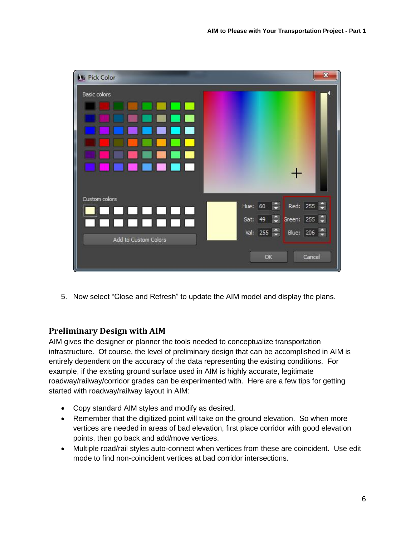| <b>N</b> Pick Color  | $\mathbf{x}$                         |
|----------------------|--------------------------------------|
| Basic colors         |                                      |
|                      |                                      |
|                      |                                      |
|                      |                                      |
|                      |                                      |
|                      |                                      |
|                      |                                      |
|                      |                                      |
| Custom colors        | Red: 255 $\Rightarrow$               |
|                      | <b>Ay</b><br>Hue: 60                 |
|                      | Sat: 49 C Green: 255 C               |
| Add to Custom Colors | Val: 255 $\leftarrow$<br>Blue: 206 - |
|                      | Cancel<br>OK                         |
|                      |                                      |

5. Now select "Close and Refresh" to update the AIM model and display the plans.

#### **Preliminary Design with AIM**

AIM gives the designer or planner the tools needed to conceptualize transportation infrastructure. Of course, the level of preliminary design that can be accomplished in AIM is entirely dependent on the accuracy of the data representing the existing conditions. For example, if the existing ground surface used in AIM is highly accurate, legitimate roadway/railway/corridor grades can be experimented with. Here are a few tips for getting started with roadway/railway layout in AIM:

- Copy standard AIM styles and modify as desired.
- Remember that the digitized point will take on the ground elevation. So when more vertices are needed in areas of bad elevation, first place corridor with good elevation points, then go back and add/move vertices.
- Multiple road/rail styles auto-connect when vertices from these are coincident. Use edit mode to find non-coincident vertices at bad corridor intersections.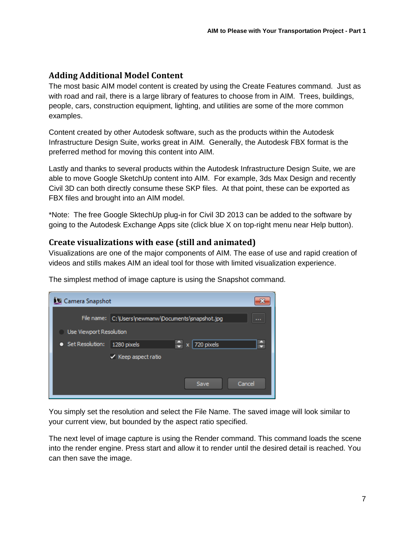## **Adding Additional Model Content**

The most basic AIM model content is created by using the Create Features command. Just as with road and rail, there is a large library of features to choose from in AIM. Trees, buildings, people, cars, construction equipment, lighting, and utilities are some of the more common examples.

Content created by other Autodesk software, such as the products within the Autodesk Infrastructure Design Suite, works great in AIM. Generally, the Autodesk FBX format is the preferred method for moving this content into AIM.

Lastly and thanks to several products within the Autodesk Infrastructure Design Suite, we are able to move Google SketchUp content into AIM. For example, 3ds Max Design and recently Civil 3D can both directly consume these SKP files. At that point, these can be exported as FBX files and brought into an AIM model.

\*Note: The free Google SktechUp plug-in for Civil 3D 2013 can be added to the software by going to the Autodesk Exchange Apps site (click blue X on top-right menu near Help button).

#### **Create visualizations with ease (still and animated)**

Visualizations are one of the major components of AIM. The ease of use and rapid creation of videos and stills makes AIM an ideal tool for those with limited visualization experience.

| Camera Snapshot         |                                                                     |
|-------------------------|---------------------------------------------------------------------|
|                         | File name: C:\Users\newmanw\Documents\snapshot.jpg<br><b>A 10 A</b> |
| Use Viewport Resolution |                                                                     |
| Set Resolution:<br>n    | G<br>$\div$<br>720 pixels<br>1280 pixels<br>x                       |
|                         | $\vee$ Keep aspect ratio                                            |
|                         |                                                                     |
|                         | Cancel<br>Save                                                      |
|                         |                                                                     |

The simplest method of image capture is using the Snapshot command.

You simply set the resolution and select the File Name. The saved image will look similar to your current view, but bounded by the aspect ratio specified.

The next level of image capture is using the Render command. This command loads the scene into the render engine. Press start and allow it to render until the desired detail is reached. You can then save the image.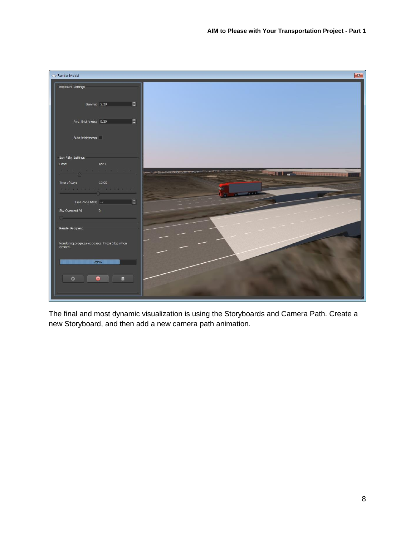

The final and most dynamic visualization is using the Storyboards and Camera Path. Create a new Storyboard, and then add a new camera path animation.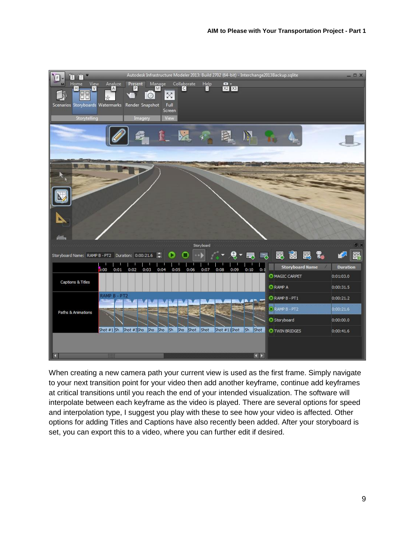| Π<br>$\mathsf F$<br>12                                                           |                                                                                             | Autodesk Infrastructure Modeler 2013: Build 2702 (64-bit) - Interchange2013Backup.sqlite                   |                      |                                        | $ \Box$ $X$     |
|----------------------------------------------------------------------------------|---------------------------------------------------------------------------------------------|------------------------------------------------------------------------------------------------------------|----------------------|----------------------------------------|-----------------|
| View<br>Home<br>V<br>H<br>38<br>Scenarios Storyboards Watermarks<br>Storytelling | Present<br><b>P</b><br>Manage<br>Analyze<br>A<br>M<br>$\circ$<br>Render Snapshot<br>Imagery | $\sum_{n=1}^{\infty}$<br>$\mathbf{H}^{\text{elp}}_{\blacksquare}$<br>$\boxtimes$<br>Full<br>Screen<br>View | 図図                   |                                        |                 |
|                                                                                  |                                                                                             |                                                                                                            |                      |                                        |                 |
|                                                                                  |                                                                                             |                                                                                                            |                      |                                        |                 |
| Storyboard Name: RAMP B - PT2 Duration: 0:00:21.6                                | لرفر فرمزمز فرمزم والمرمزمز فالمراقب                                                        | Storyboard                                                                                                 | لهما                 | 閸<br>閳<br>禺<br>ెస్<br>÷.               | <b>FIX</b><br>畢 |
|                                                                                  |                                                                                             |                                                                                                            |                      | <b>Storyboard Name</b>                 | <b>Duration</b> |
| 000<br>Captions & Titles                                                         | 0:02<br>0:01<br>0:03<br>0:04                                                                | 0:05<br>0:06<br>0:07                                                                                       | 0:10<br>0:08<br>0:09 | 0:1<br>MAGIC CARPET<br><b>C</b> RAMP A | 0:01:03.0       |
|                                                                                  | RAMP B - PT2                                                                                |                                                                                                            |                      |                                        | 0:00:31.5       |
|                                                                                  |                                                                                             |                                                                                                            |                      | RAMP B - PT1                           | 0:00:21.2       |
| Paths & Animations                                                               |                                                                                             |                                                                                                            |                      | RAMP B - PT2                           | 0:00:21.6       |
|                                                                                  |                                                                                             |                                                                                                            |                      | Storyboard                             | 0:00:00.0       |
|                                                                                  | Shot #1 Sh Shot #35ho Sho Sho Sho Shot Shot  Shot #11Shot  Sh Shot<br>m                     |                                                                                                            | $\leftarrow$         | <b>O</b> TWIN BRIDGES                  | 0:00:41.6       |

When creating a new camera path your current view is used as the first frame. Simply navigate to your next transition point for your video then add another keyframe, continue add keyframes at critical transitions until you reach the end of your intended visualization. The software will interpolate between each keyframe as the video is played. There are several options for speed and interpolation type, I suggest you play with these to see how your video is affected. Other options for adding Titles and Captions have also recently been added. After your storyboard is set, you can export this to a video, where you can further edit if desired.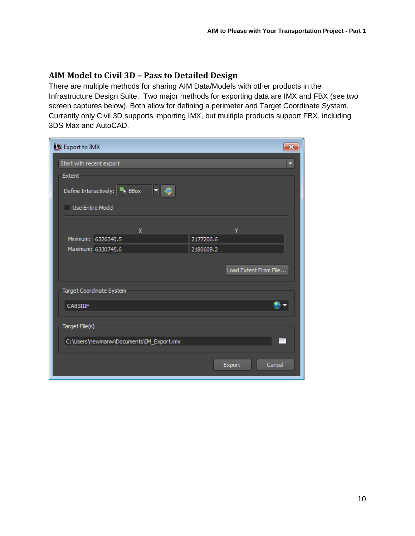## **AIM Model to Civil 3D – Pass to Detailed Design**

There are multiple methods for sharing AIM Data/Models with other products in the Infrastructure Design Suite. Two major methods for exporting data are IMX and FBX (see two screen captures below). Both allow for defining a perimeter and Target Coordinate System. Currently only Civil 3D supports importing IMX, but multiple products support FBX, including 3DS Max and AutoCAD.

| Export to IMX            |                                             |           | $\mathbf{x}$          |
|--------------------------|---------------------------------------------|-----------|-----------------------|
| Start with recent export |                                             |           |                       |
| Extent                   |                                             |           |                       |
|                          | Define Interactively: $\blacksquare_k$ BBox |           |                       |
| Use Entire Model         |                                             |           |                       |
|                          | $\mathbf{x}$                                |           | Y                     |
|                          | Minimum: 6326340.5                          | 2177206.6 |                       |
|                          | Maximum: 6330745.6                          | 2180608.2 |                       |
|                          |                                             |           |                       |
|                          |                                             |           | Load Extent From File |
|                          |                                             |           |                       |
|                          | Target Coordinate System                    |           |                       |
| CA83IIIF                 |                                             |           |                       |
|                          |                                             |           |                       |
| Target File(s)           |                                             |           |                       |
|                          | C:\Users\newmanw\Documents\IM_Export.imx    |           |                       |
|                          |                                             |           |                       |
|                          |                                             |           |                       |
|                          |                                             |           | Cancel<br>Export      |
|                          |                                             |           |                       |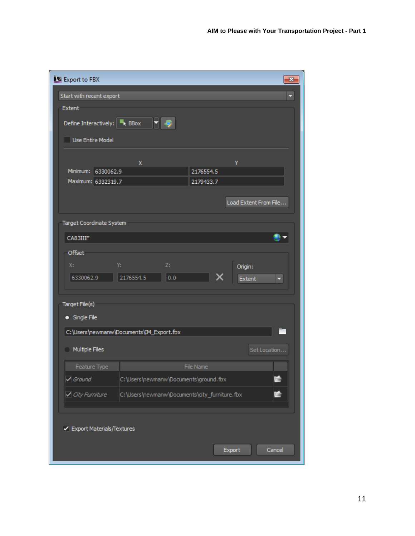| Export to FBX                            |                                               |     |           |                       | $\mathbf{z}$ |
|------------------------------------------|-----------------------------------------------|-----|-----------|-----------------------|--------------|
| Start with recent export                 |                                               |     |           |                       | Ξ            |
| Extent                                   |                                               |     |           |                       |              |
| Define Interactively: <b>F</b> BBox      | ▼ ஒ                                           |     |           |                       |              |
| Use Entire Model                         |                                               |     |           |                       |              |
|                                          | X                                             |     |           | γ                     |              |
| Minimum: 6330062.9                       |                                               |     | 2176554.5 |                       |              |
| Maximum: 6332319.7                       |                                               |     | 2179433.7 |                       |              |
|                                          |                                               |     |           | Load Extent From File |              |
| Target Coordinate System                 |                                               |     |           |                       |              |
| CA83IIIF                                 |                                               |     |           |                       |              |
| Offset                                   |                                               |     |           |                       |              |
| X:                                       | Y:                                            | Z:  |           | Origin:               |              |
| 6330062.9                                | 2176554.5                                     | 0.0 |           | Extent                | Ξ            |
| Target File(s)<br>· Single File          |                                               |     |           |                       |              |
| C:\Users\newmanw\Documents\IM_Export.fbx |                                               |     |           |                       |              |
| Multiple Files                           |                                               |     |           |                       | Set Location |
| Feature Type                             |                                               |     | File Name |                       |              |
| $\sqrt{$ Ground                          | C:\Users\newmanw\Documents\ground.fbx         |     |           |                       | 64           |
| √ City Furniture                         | C:\Users\newmanw\Documents\city_furniture.fbx |     |           |                       |              |
| ✔ Export Materials/Textures              |                                               |     |           |                       |              |
|                                          |                                               |     |           | Export                | Cancel       |